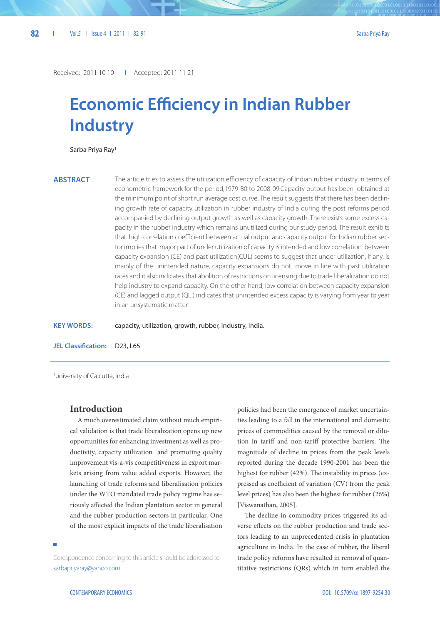Received: 2011 10 10 Accepted: 2011 11 21

# **Economic Efficiency in Indian Rubber Industry**

Sarba Priya Ray1

## **ABSTRACT**

The article tries to assess the utilization efficiency of capacity of Indian rubber industry in terms of econometric framework for the period,1979-80 to 2008-09.Capacity output has been obtained at the minimum point of short run average cost curve. The result suggests that there has been declining growth rate of capacity utilization in rubber industry of India during the post reforms period accompanied by declining output growth as well as capacity growth. There exists some excess capacity in the rubber industry which remains unutilized during our study period. The result exhibits that high correlation coefficient between actual output and capacity output for Indian rubber sector implies that major part of under utilization of capacity is intended and low correlation between capacity expansion (CE) and past utilization(CUL) seems to suggest that under utilization, if any, is mainly of the unintended nature, capacity expansions do not move in line with past utilization rates and it also indicates that abolition of restrictions on licensing due to trade liberalization do not help industry to expand capacity. On the other hand, low correlation between capacity expansion (CE) and lagged output (QL ) indicates that unintended excess capacity is varying from year to year in an unsystematic matter.

**Key words:**  capacity, utilization, growth, rubber, industry, India.

JEL Classification: D23, L65

<sup>1</sup>university of Calcutta, India

# **Introduction**

A much overestimated claim without much empirical validation is that trade liberalization opens up new opportunities for enhancing investment as well as productivity, capacity utilization and promoting quality improvement vis-a-vis competitiveness in export markets arising from value added exports. However, the launching of trade reforms and liberalisation policies under the WTO mandated trade policy regime has seriously affected the Indian plantation sector in general and the rubber production sectors in particular. One of the most explicit impacts of the trade liberalisation

Corespondence concerning to this article should be addressed to: sarbapriyaray@yahoo.com

policies had been the emergence of market uncertainties leading to a fall in the international and domestic prices of commodities caused by the removal or dilution in tariff and non-tariff protective barriers. The magnitude of decline in prices from the peak levels reported during the decade 1990-2001 has been the highest for rubber (42%). The instability in prices (expressed as coefficient of variation (CV) from the peak level prices) has also been the highest for rubber (26%) [Viswanathan, 2005].

The decline in commodity prices triggered its adverse effects on the rubber production and trade sectors leading to an unprecedented crisis in plantation agriculture in India. In the case of rubber, the liberal trade policy reforms have resulted in removal of quantitative restrictions (QRs) which in turn enabled the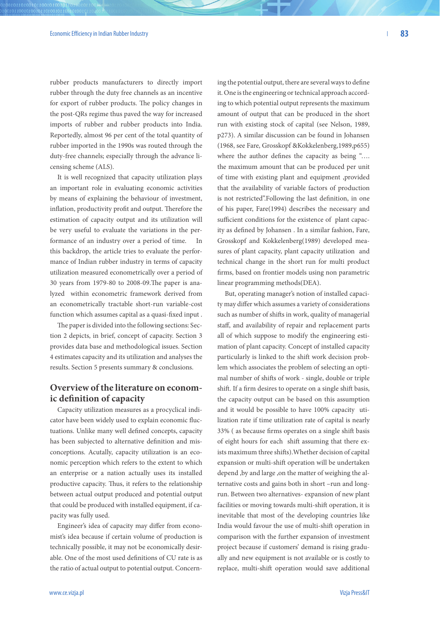rubber products manufacturers to directly import rubber through the duty free channels as an incentive for export of rubber products. The policy changes in the post-QRs regime thus paved the way for increased imports of rubber and rubber products into India. Reportedly, almost 96 per cent of the total quantity of rubber imported in the 1990s was routed through the duty-free channels; especially through the advance licensing scheme (ALS).

It is well recognized that capacity utilization plays an important role in evaluating economic activities by means of explaining the behaviour of investment, inflation, productivity profit and output. Therefore the estimation of capacity output and its utilization will be very useful to evaluate the variations in the performance of an industry over a period of time. In this backdrop, the article tries to evaluate the performance of Indian rubber industry in terms of capacity utilization measured econometrically over a period of 30 years from 1979-80 to 2008-09.The paper is analyzed within econometric framework derived from an econometrically tractable short-run variable-cost function which assumes capital as a quasi-fixed input .

The paper is divided into the following sections: Section 2 depicts, in brief, concept of capacity. Section 3 provides data base and methodological issues. Section 4 estimates capacity and its utilization and analyses the results. Section 5 presents summary & conclusions.

# **Overview of the literature on economic definition of capacity**

Capacity utilization measures as a procyclical indicator have been widely used to explain economic fluctuations. Unlike many well defined concepts, capacity has been subjected to alternative definition and misconceptions. Acutally, capacity utilization is an economic perception which refers to the extent to which an enterprise or a nation actually uses its installed productive capacity. Thus, it refers to the relationship between actual output produced and potential output that could be produced with installed equipment, if capacity was fully used.

Engineer's idea of capacity may differ from economist's idea because if certain volume of production is technically possible, it may not be economically desirable. One of the most used definitions of CU rate is as the ratio of actual output to potential output. Concerning the potential output, there are several ways to define it. One is the engineering or technical approach according to which potential output represents the maximum amount of output that can be produced in the short run with existing stock of capital (see Nelson, 1989, p273). A similar discussion can be found in Johansen (1968, see Fare, Grosskopf &Kokkelenberg,1989,p655) where the author defines the capacity as being "…. the maximum amount that can be produced per unit of time with existing plant and equipment ,provided that the availability of variable factors of production is not restricted".Following the last definition, in one of his paper, Fare(1994) describes the necessary and sufficient conditions for the existence of plant capacity as defined by Johansen . In a similar fashion, Fare, Grosskopf and Kokkelenberg(1989) developed measures of plant capacity, plant capacity utilization and technical change in the short run for multi product firms, based on frontier models using non parametric linear programming methods(DEA).

But, operating manager's notion of installed capacity may differ which assumes a variety of considerations such as number of shifts in work, quality of managerial staff, and availability of repair and replacement parts all of which suppose to modify the engineering estimation of plant capacity. Concept of installed capacity particularly is linked to the shift work decision problem which associates the problem of selecting an optimal number of shifts of work - single, double or triple shift. If a firm desires to operate on a single shift basis, the capacity output can be based on this assumption and it would be possible to have 100% capacity utilization rate if time utilization rate of capital is nearly 33% ( as because firms operates on a single shift basis of eight hours for each shift assuming that there exists maximum three shifts).Whether decision of capital expansion or multi-shift operation will be undertaken depend ,by and large ,on the matter of weighing the alternative costs and gains both in short –run and longrun. Between two alternatives- expansion of new plant facilities or moving towards multi-shift operation, it is inevitable that most of the developing countries like India would favour the use of multi-shift operation in comparison with the further expansion of investment project because if customers' demand is rising gradually and new equipment is not available or is costly to replace, multi-shift operation would save additional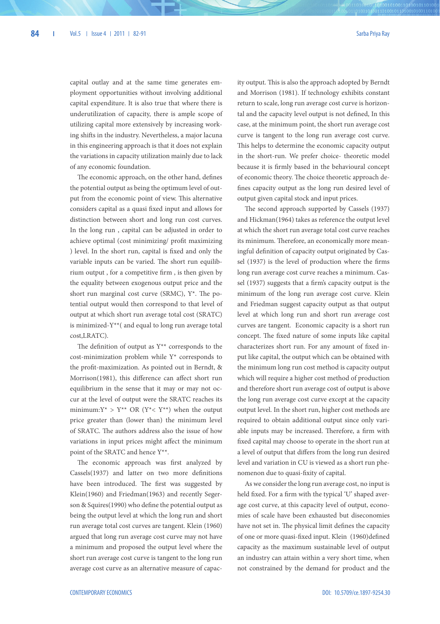capital outlay and at the same time generates employment opportunities without involving additional capital expenditure. It is also true that where there is underutilization of capacity, there is ample scope of utilizing capital more extensively by increasing working shifts in the industry. Nevertheless, a major lacuna in this engineering approach is that it does not explain the variations in capacity utilization mainly due to lack of any economic foundation.

The economic approach, on the other hand, defines the potential output as being the optimum level of output from the economic point of view. This alternative considers capital as a quasi fixed input and allows for distinction between short and long run cost curves. In the long run , capital can be adjusted in order to achieve optimal (cost minimizing/ profit maximizing ) level. In the short run, capital is fixed and only the variable inputs can be varied. The short run equilibrium output , for a competitive firm , is then given by the equality between exogenous output price and the short run marginal cost curve (SRMC), Y\*. The potential output would then correspond to that level of output at which short run average total cost (SRATC) is minimized-Y\*\*( and equal to long run average total cost,LRATC).

The definition of output as Y\*\* corresponds to the cost-minimization problem while Y\* corresponds to the profit-maximization. As pointed out in Berndt, & Morrison(1981), this difference can affect short run equilibrium in the sense that it may or may not occur at the level of output were the SRATC reaches its minimum: $Y^* > Y^{**}$  OR ( $Y^* < Y^{**}$ ) when the output price greater than (lower than) the minimum level of SRATC. The authors address also the issue of how variations in input prices might affect the minimum point of the SRATC and hence Y\*\*.

The economic approach was first analyzed by Cassels(1937) and latter on two more definitions have been introduced. The first was suggested by Klein(1960) and Friedman(1963) and recently Segerson & Squires(1990) who define the potential output as being the output level at which the long run and short run average total cost curves are tangent. Klein (1960) argued that long run average cost curve may not have a minimum and proposed the output level where the short run average cost curve is tangent to the long run average cost curve as an alternative measure of capacity output. This is also the approach adopted by Berndt and Morrison (1981). If technology exhibits constant return to scale, long run average cost curve is horizontal and the capacity level output is not defined, In this case, at the minimum point, the short run average cost curve is tangent to the long run average cost curve. This helps to determine the economic capacity output in the short-run. We prefer choice- theoretic model because it is firmly based in the behavioural concept of economic theory. The choice theoretic approach defines capacity output as the long run desired level of output given capital stock and input prices.

The second approach supported by Cassels (1937) and Hickman(1964) takes as reference the output level at which the short run average total cost curve reaches its minimum. Therefore, an economically more meaningful definition of capacity output originated by Cassel (1937) is the level of production where the firms long run average cost curve reaches a minimum. Cassel (1937) suggests that a firm's capacity output is the minimum of the long run average cost curve. Klein and Friedman suggest capacity output as that output level at which long run and short run average cost curves are tangent. Economic capacity is a short run concept. The fixed nature of some inputs like capital characterizes short run. For any amount of fixed input like capital, the output which can be obtained with the minimum long run cost method is capacity output which will require a higher cost method of production and therefore short run average cost of output is above the long run average cost curve except at the capacity output level. In the short run, higher cost methods are required to obtain additional output since only variable inputs may be increased. Therefore, a firm with fixed capital may choose to operate in the short run at a level of output that differs from the long run desired level and variation in CU is viewed as a short run phenomenon due to quasi-fixity of capital.

As we consider the long run average cost, no input is held fixed. For a firm with the typical 'U' shaped average cost curve, at this capacity level of output, economies of scale have been exhausted but diseconomies have not set in. The physical limit defines the capacity of one or more quasi-fixed input. Klein (1960)defined capacity as the maximum sustainable level of output an industry can attain within a very short time, when not constrained by the demand for product and the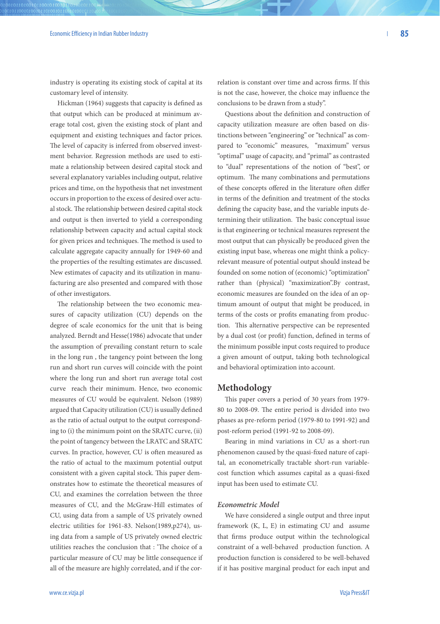industry is operating its existing stock of capital at its customary level of intensity.

Hickman (1964) suggests that capacity is defined as that output which can be produced at minimum average total cost, given the existing stock of plant and equipment and existing techniques and factor prices. The level of capacity is inferred from observed investment behavior. Regression methods are used to estimate a relationship between desired capital stock and several explanatory variables including output, relative prices and time, on the hypothesis that net investment occurs in proportion to the excess of desired over actual stock. The relationship between desired capital stock and output is then inverted to yield a corresponding relationship between capacity and actual capital stock for given prices and techniques. The method is used to calculate aggregate capacity annually for 1949-60 and the properties of the resulting estimates are discussed. New estimates of capacity and its utilization in manufacturing are also presented and compared with those of other investigators.

The relationship between the two economic measures of capacity utilization (CU) depends on the degree of scale economics for the unit that is being analyzed. Berndt and Hesse(1986) advocate that under the assumption of prevailing constant return to scale in the long run , the tangency point between the long run and short run curves will coincide with the point where the long run and short run average total cost curve reach their minimum. Hence, two economic measures of CU would be equivalent. Nelson (1989) argued that Capacity utilization (CU) is usually defined as the ratio of actual output to the output corresponding to (i) the minimum point on the SRATC curve, (ii) the point of tangency between the LRATC and SRATC curves. In practice, however, CU is often measured as the ratio of actual to the maximum potential output consistent with a given capital stock. This paper demonstrates how to estimate the theoretical measures of CU, and examines the correlation between the three measures of CU, and the McGraw-Hill estimates of CU, using data from a sample of US privately owned electric utilities for 1961-83. Nelson(1989,p274), using data from a sample of US privately owned electric utilities reaches the conclusion that : 'The choice of a particular measure of CU may be little consequence if all of the measure are highly correlated, and if the correlation is constant over time and across firms. If this is not the case, however, the choice may influence the conclusions to be drawn from a study".

Questions about the definition and construction of capacity utilization measure are often based on distinctions between "engineering" or "technical" as compared to "economic" measures, "maximum" versus "optimal" usage of capacity, and "primal" as contrasted to "dual" representations of the notion of "best", or optimum. The many combinations and permutations of these concepts offered in the literature often differ in terms of the definition and treatment of the stocks defining the capacity base, and the variable inputs determining their utilization. The basic conceptual issue is that engineering or technical measures represent the most output that can physically be produced given the existing input base, whereas one might think a policyrelevant measure of potential output should instead be founded on some notion of (economic) "optimization" rather than (physical) "maximization".By contrast, economic measures are founded on the idea of an optimum amount of output that might be produced, in terms of the costs or profits emanating from production. This alternative perspective can be represented by a dual cost (or profit) function, defined in terms of the minimum possible input costs required to produce a given amount of output, taking both technological and behavioral optimization into account.

# **Methodology**

This paper covers a period of 30 years from 1979- 80 to 2008-09. The entire period is divided into two phases as pre-reform period (1979-80 to 1991-92) and post-reform period (1991-92 to 2008-09).

Bearing in mind variations in CU as a short-run phenomenon caused by the quasi-fixed nature of capital, an econometrically tractable short-run variablecost function which assumes capital as a quasi-fixed input has been used to estimate CU.

#### *Econometric Model*

We have considered a single output and three input framework (K, L, E) in estimating CU and assume that firms produce output within the technological constraint of a well-behaved production function. A production function is considered to be well-behaved if it has positive marginal product for each input and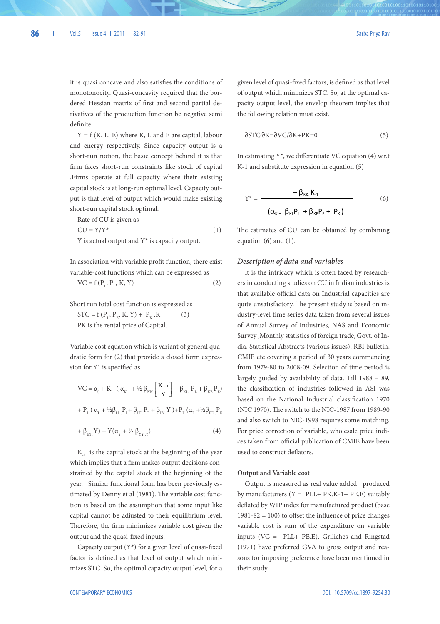it is quasi concave and also satisfies the conditions of monotonocity. Quasi-concavity required that the bordered Hessian matrix of first and second partial derivatives of the production function be negative semi definite.

 $Y = f(K, L, E)$  where K, L and E are capital, labour and energy respectively. Since capacity output is a short-run notion, the basic concept behind it is that firm faces short-run constraints like stock of capital .Firms operate at full capacity where their existing capital stock is at long-run optimal level. Capacity output is that level of output which would make existing short-run capital stock optimal.

Rate of CU is given as  
CU = 
$$
Y/Y^*
$$
 (1)

Y is actual output and Y\* is capacity output.

In association with variable profit function, there exist variable-cost functions which can be expressed as

 $VC = f(P_L, P_E, K, Y)$  (2)

Short run total cost function is expressed as

 $STC = f(P_L, P_E, K, Y) + P_K.K$  (3) PK is the rental price of Capital.

Variable cost equation which is variant of general quadratic form for (2) that provide a closed form expression for Y\* is specified as

$$
VC = \alpha_0 + K_{.1} (\alpha_K + \frac{1}{2} \beta_{KK} \left[ \frac{K_{-1}}{Y} \right] + \beta_{KL} P_L + \beta_{KE} P_E)
$$
  
+  $P_L (\alpha_L + \frac{1}{2} \beta_{LL} P_L + \beta_{LE} P_E + \beta_{LY} Y) + P_E (\alpha_E + \frac{1}{2} \beta_{EE} P_E + \beta_{EV} Y) + Y(\alpha_Y + \frac{1}{2} \beta_{YY,Y})$  (4)

 $K_{1}$  is the capital stock at the beginning of the year which implies that a firm makes output decisions constrained by the capital stock at the beginning of the year. Similar functional form has been previously estimated by Denny et al (1981). The variable cost function is based on the assumption that some input like capital cannot be adjusted to their equilibrium level. Therefore, the firm minimizes variable cost given the output and the quasi-fixed inputs.

Capacity output  $(Y^*)$  for a given level of quasi-fixed factor is defined as that level of output which minimizes STC. So, the optimal capacity output level, for a

given level of quasi-fixed factors, is defined as that level of output which minimizes STC. So, at the optimal capacity output level, the envelop theorem implies that the following relation must exist.

$$
\partial STC/\partial K = \partial VC/\partial K + PK = 0 \tag{5}
$$

In estimating  $Y^*$ , we differentiate VC equation (4) w.r.t K-1 and substitute expression in equation (5)

$$
Y^* = \frac{-\beta_{KK}K_{\cdot 1}}{(\alpha_{K^+} \beta_{KL}P_L + \beta_{KE}P_E + P_K)}
$$
(6)

The estimates of CU can be obtained by combining equation (6) and (1).

#### *Description of data and variables*

It is the intricacy which is often faced by researchers in conducting studies on CU in Indian industries is that available official data on Industrial capacities are quite unsatisfactory. The present study is based on industry-level time series data taken from several issues of Annual Survey of Industries, NAS and Economic Survey ,Monthly statistics of foreign trade, Govt. of India, Statistical Abstracts (various issues), RBI bulletin, CMIE etc covering a period of 30 years commencing from 1979-80 to 2008-09. Selection of time period is largely guided by availability of data. Till 1988 – 89, the classification of industries followed in ASI was based on the National Industrial classification 1970 (NIC 1970). The switch to the NIC-1987 from 1989-90 and also switch to NIC-1998 requires some matching. For price correction of variable, wholesale price indices taken from official publication of CMIE have been used to construct deflators.

#### **Output and Variable cost**

Output is measured as real value added produced by manufacturers  $(Y = PLL + PK.K-1+ PE.E)$  suitably deflated by WIP index for manufactured product (base  $1981-82 = 100$ ) to offset the influence of price changes variable cost is sum of the expenditure on variable inputs (VC = PLL+ PE.E). Griliches and Ringstad (1971) have preferred GVA to gross output and reasons for imposing preference have been mentioned in their study.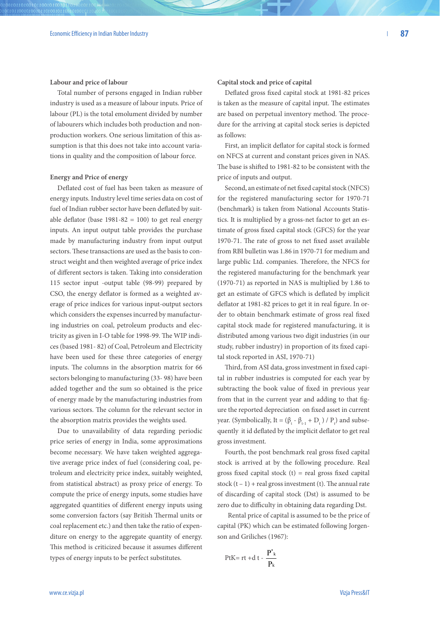#### **Labour and price of labour**

Total number of persons engaged in Indian rubber industry is used as a measure of labour inputs. Price of labour (PL) is the total emolument divided by number of labourers which includes both production and nonproduction workers. One serious limitation of this assumption is that this does not take into account variations in quality and the composition of labour force.

#### **Energy and Price of energy**

Deflated cost of fuel has been taken as measure of energy inputs. Industry level time series data on cost of fuel of Indian rubber sector have been deflated by suitable deflator (base  $1981-82 = 100$ ) to get real energy inputs. An input output table provides the purchase made by manufacturing industry from input output sectors. These transactions are used as the basis to construct weight and then weighted average of price index of different sectors is taken. Taking into consideration 115 sector input -output table (98-99) prepared by CSO, the energy deflator is formed as a weighted average of price indices for various input-output sectors which considers the expenses incurred by manufacturing industries on coal, petroleum products and electricity as given in I-O table for 1998-99. The WIP indices (based 1981- 82) of Coal, Petroleum and Electricity have been used for these three categories of energy inputs. The columns in the absorption matrix for 66 sectors belonging to manufacturing (33- 98) have been added together and the sum so obtained is the price of energy made by the manufacturing industries from various sectors. The column for the relevant sector in the absorption matrix provides the weights used.

Due to unavailability of data regarding periodic price series of energy in India, some approximations become necessary. We have taken weighted aggregative average price index of fuel (considering coal, petroleum and electricity price index, suitably weighted, from statistical abstract) as proxy price of energy. To compute the price of energy inputs, some studies have aggregated quantities of different energy inputs using some conversion factors (say British Thermal units or coal replacement etc.) and then take the ratio of expenditure on energy to the aggregate quantity of energy. This method is criticized because it assumes different types of energy inputs to be perfect substitutes.

#### **Capital stock and price of capital**

Deflated gross fixed capital stock at 1981-82 prices is taken as the measure of capital input. The estimates are based on perpetual inventory method. The procedure for the arriving at capital stock series is depicted as follows:

First, an implicit deflator for capital stock is formed on NFCS at current and constant prices given in NAS. The base is shifted to 1981-82 to be consistent with the price of inputs and output.

Second, an estimate of net fixed capital stock (NFCS) for the registered manufacturing sector for 1970-71 (benchmark) is taken from National Accounts Statistics. It is multiplied by a gross-net factor to get an estimate of gross fixed capital stock (GFCS) for the year 1970-71. The rate of gross to net fixed asset available from RBI bulletin was 1.86 in 1970-71 for medium and large public Ltd. companies. Therefore, the NFCS for the registered manufacturing for the benchmark year (1970-71) as reported in NAS is multiplied by 1.86 to get an estimate of GFCS which is deflated by implicit deflator at 1981-82 prices to get it in real figure. In order to obtain benchmark estimate of gross real fixed capital stock made for registered manufacturing, it is distributed among various two digit industries (in our study, rubber industry) in proportion of its fixed capital stock reported in ASI, 1970-71)

Third, from ASI data, gross investment in fixed capital in rubber industries is computed for each year by subtracting the book value of fixed in previous year from that in the current year and adding to that figure the reported depreciation on fixed asset in current year. (Symbolically, It = (β<sub>t</sub> - β<sub>t-1</sub> + D<sub>t</sub>) / P<sub>t</sub>) and subsequently it id deflated by the implicit deflator to get real gross investment.

Fourth, the post benchmark real gross fixed capital stock is arrived at by the following procedure. Real gross fixed capital stock  $(t)$  = real gross fixed capital stock  $(t - 1)$  + real gross investment (t). The annual rate of discarding of capital stock (Dst) is assumed to be zero due to difficulty in obtaining data regarding Dst.

 Rental price of capital is assumed to be the price of capital (PK) which can be estimated following Jorgenson and Griliches (1967):

$$
PtK = rt + d t - \frac{P^{\star}_k}{P_k}
$$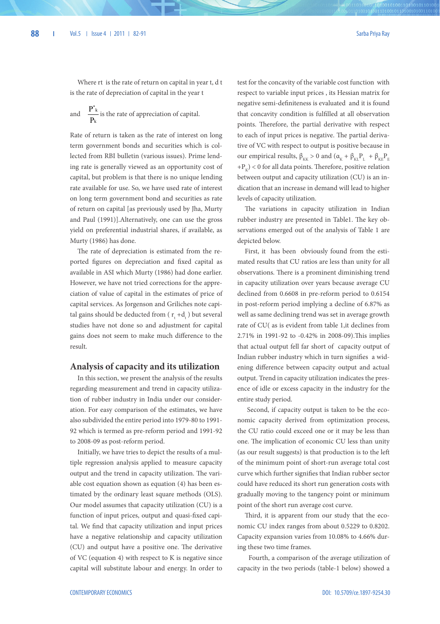Where rt is the rate of return on capital in year t, d t is the rate of depreciation of capital in the year t

and 
$$
\frac{\mathbf{P}^{\star}_{k}}{\mathbf{P}_{k}}
$$
 is the rate of appreciation of capital.

Rate of return is taken as the rate of interest on long term government bonds and securities which is collected from RBI bulletin (various issues). Prime lending rate is generally viewed as an opportunity cost of capital, but problem is that there is no unique lending rate available for use. So, we have used rate of interest on long term government bond and securities as rate of return on capital [as previously used by Jha, Murty and Paul (1991)].Alternatively, one can use the gross yield on preferential industrial shares, if available, as Murty (1986) has done.

The rate of depreciation is estimated from the reported figures on depreciation and fixed capital as available in ASI which Murty (1986) had done earlier. However, we have not tried corrections for the appreciation of value of capital in the estimates of price of capital services. As Jorgenson and Griliches note capital gains should be deducted from (  $r_t$  +d<sub>t</sub> ) but several studies have not done so and adjustment for capital gains does not seem to make much difference to the result.

# **Analysis of capacity and its utilization**

In this section, we present the analysis of the results regarding measurement and trend in capacity utilization of rubber industry in India under our consideration. For easy comparison of the estimates, we have also subdivided the entire period into 1979-80 to 1991- 92 which is termed as pre-reform period and 1991-92 to 2008-09 as post-reform period.

Initially, we have tries to depict the results of a multiple regression analysis applied to measure capacity output and the trend in capacity utilization. The variable cost equation shown as equation (4) has been estimated by the ordinary least square methods (OLS). Our model assumes that capacity utilization (CU) is a function of input prices, output and quasi-fixed capital. We find that capacity utilization and input prices have a negative relationship and capacity utilization (CU) and output have a positive one. The derivative of VC (equation 4) with respect to K is negative since capital will substitute labour and energy. In order to test for the concavity of the variable cost function with respect to variable input prices , its Hessian matrix for negative semi-definiteness is evaluated and it is found that concavity condition is fulfilled at all observation points. Therefore, the partial derivative with respect to each of input prices is negative. The partial derivative of VC with respect to output is positive because in our empirical results,  $β_{\text{KK}} > 0$  and  $(α_{\text{K}} + β_{\text{KL}}P_{\text{L}} + β_{\text{KE}}P_{\text{E}})$  $+P_k$ ) < 0 for all data points. Therefore, positive relation between output and capacity utilization (CU) is an indication that an increase in demand will lead to higher levels of capacity utilization.

The variations in capacity utilization in Indian rubber industry are presented in Table1. The key observations emerged out of the analysis of Table 1 are depicted below.

First, it has been obviously found from the estimated results that CU ratios are less than unity for all observations. There is a prominent diminishing trend in capacity utilization over years because average CU declined from 0.6608 in pre-reform period to 0.6154 in post-reform period implying a decline of 6.87% as well as same declining trend was set in average growth rate of CU( as is evident from table 1,it declines from 2.71% in 1991-92 to -0.42% in 2008-09).This implies that actual output fell far short of capacity output of Indian rubber industry which in turn signifies a widening difference between capacity output and actual output. Trend in capacity utilization indicates the presence of idle or excess capacity in the industry for the entire study period.

 Second, if capacity output is taken to be the economic capacity derived from optimization process, the CU ratio could exceed one or it may be less than one. The implication of economic CU less than unity (as our result suggests) is that production is to the left of the minimum point of short-run average total cost curve which further signifies that Indian rubber sector could have reduced its short run generation costs with gradually moving to the tangency point or minimum point of the short run average cost curve.

Third, it is apparent from our study that the economic CU index ranges from about 0.5229 to 0.8202. Capacity expansion varies from 10.08% to 4.66% during these two time frames.

 Fourth, a comparison of the average utilization of capacity in the two periods (table-1 below) showed a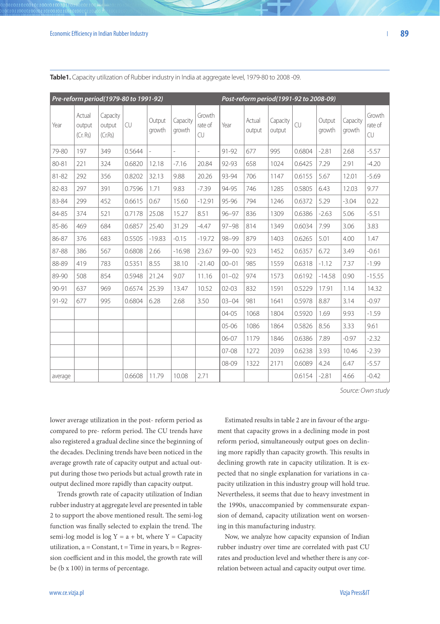|         | Pre-reform period(1979-80 to 1991-92) |                               |        |                  |                    |                         |           | Post-reform period(1991-92 to 2008-09) |                    |        |                  |                    |                         |
|---------|---------------------------------------|-------------------------------|--------|------------------|--------------------|-------------------------|-----------|----------------------------------------|--------------------|--------|------------------|--------------------|-------------------------|
| Year    | Actual<br>output<br>(Cr. Rs)          | Capacity<br>output<br>(Cr.Rs) | CU     | Output<br>arowth | Capacity<br>growth | Growth<br>rate of<br>CU | Year      | Actual<br>output                       | Capacity<br>output | CU     | Output<br>growth | Capacity<br>growth | Growth<br>rate of<br>CU |
| 79-80   | 197                                   | 349                           | 0.5644 | L                | ÷.                 |                         | $91 - 92$ | 677                                    | 995                | 0.6804 | $-2.81$          | 2.68               | $-5.57$                 |
| 80-81   | 221                                   | 324                           | 0.6820 | 12.18            | $-7.16$            | 20.84                   | 92-93     | 658                                    | 1024               | 0.6425 | 7.29             | 2.91               | $-4.20$                 |
| 81-82   | 292                                   | 356                           | 0.8202 | 32.13            | 9.88               | 20.26                   | 93-94     | 706                                    | 1147               | 0.6155 | 5.67             | 12.01              | $-5.69$                 |
| 82-83   | 297                                   | 391                           | 0.7596 | 1.71             | 9.83               | $-7.39$                 | 94-95     | 746                                    | 1285               | 0.5805 | 6.43             | 12.03              | 9.77                    |
| 83-84   | 299                                   | 452                           | 0.6615 | 0.67             | 15.60              | $-12.91$                | 95-96     | 794                                    | 1246               | 0.6372 | 5.29             | $-3.04$            | 0.22                    |
| 84-85   | 374                                   | 521                           | 0.7178 | 25.08            | 15.27              | 8.51                    | $96 - 97$ | 836                                    | 1309               | 0.6386 | $-2.63$          | 5.06               | $-5.51$                 |
| 85-86   | 469                                   | 684                           | 0.6857 | 25.40            | 31.29              | $-4.47$                 | $97 - 98$ | 814                                    | 1349               | 0.6034 | 7.99             | 3.06               | 3.83                    |
| 86-87   | 376                                   | 683                           | 0.5505 | $-19.83$         | $-0.15$            | $-19.72$                | 98-99     | 879                                    | 1403               | 0.6265 | 5.01             | 4.00               | 1.47                    |
| 87-88   | 386                                   | 567                           | 0.6808 | 2.66             | $-16.98$           | 23.67                   | $99 - 00$ | 923                                    | 1452               | 0.6357 | 6.72             | 3.49               | $-0.61$                 |
| 88-89   | 419                                   | 783                           | 0.5351 | 8.55             | 38.10              | $-21.40$                | $00 - 01$ | 985                                    | 1559               | 0.6318 | $-1.12$          | 7.37               | $-1.99$                 |
| 89-90   | 508                                   | 854                           | 0.5948 | 21.24            | 9.07               | 11.16                   | $01 - 02$ | 974                                    | 1573               | 0.6192 | $-14.58$         | 0.90               | $-15.55$                |
| 90-91   | 637                                   | 969                           | 0.6574 | 25.39            | 13.47              | 10.52                   | $02 - 03$ | 832                                    | 1591               | 0.5229 | 17.91            | 1.14               | 14.32                   |
| 91-92   | 677                                   | 995                           | 0.6804 | 6.28             | 2.68               | 3.50                    | $03 - 04$ | 981                                    | 1641               | 0.5978 | 8.87             | 3.14               | $-0.97$                 |
|         |                                       |                               |        |                  |                    |                         | $04 - 05$ | 1068                                   | 1804               | 0.5920 | 1.69             | 9.93               | $-1.59$                 |
|         |                                       |                               |        |                  |                    |                         | $05 - 06$ | 1086                                   | 1864               | 0.5826 | 8.56             | 3.33               | 9.61                    |
|         |                                       |                               |        |                  |                    |                         | $06 - 07$ | 1179                                   | 1846               | 0.6386 | 7.89             | $-0.97$            | $-2.32$                 |
|         |                                       |                               |        |                  |                    |                         | $07-08$   | 1272                                   | 2039               | 0.6238 | 3.93             | 10.46              | $-2.39$                 |
|         |                                       |                               |        |                  |                    |                         | 08-09     | 1322                                   | 2171               | 0.6089 | 4.24             | 6.47               | $-5.57$                 |
| average |                                       |                               | 0.6608 | 11.79            | 10.08              | 2.71                    |           |                                        |                    | 0.6154 | $-2.81$          | 4.66               | $-0.42$                 |

**Table1.** Capacity utilization of Rubber industry in India at aggregate level, 1979-80 to 2008 -09.

*Source: Own study*

lower average utilization in the post- reform period as compared to pre- reform period. The CU trends have also registered a gradual decline since the beginning of the decades. Declining trends have been noticed in the average growth rate of capacity output and actual output during those two periods but actual growth rate in output declined more rapidly than capacity output.

Trends growth rate of capacity utilization of Indian rubber industry at aggregate level are presented in table 2 to support the above mentioned result. The semi-log function was finally selected to explain the trend. The semi-log model is log  $Y = a + bt$ , where  $Y =$  Capacity utilization,  $a = Constant$ ,  $t = Time$  in years,  $b = Regres$ sion coefficient and in this model, the growth rate will be (b x 100) in terms of percentage.

Estimated results in table 2 are in favour of the argument that capacity grows in a declining mode in post reform period, simultaneously output goes on declining more rapidly than capacity growth. This results in declining growth rate in capacity utilization. It is expected that no single explanation for variations in capacity utilization in this industry group will hold true. Nevertheless, it seems that due to heavy investment in the 1990s, unaccompanied by commensurate expansion of demand, capacity utilization went on worsening in this manufacturing industry.

Now, we analyze how capacity expansion of Indian rubber industry over time are correlated with past CU rates and production level and whether there is any correlation between actual and capacity output over time.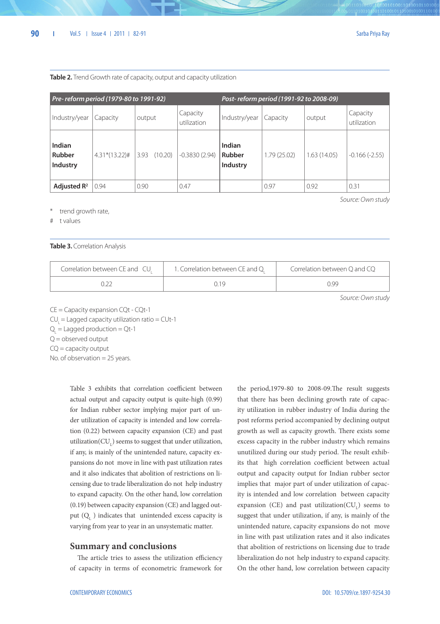| Pre-reform period (1979-80 to 1991-92) |                  |                 |                         | Post-reform period (1991-92 to 2008-09) |              |             |                         |
|----------------------------------------|------------------|-----------------|-------------------------|-----------------------------------------|--------------|-------------|-------------------------|
| Industry/year                          | Capacity         | output          | Capacity<br>utilization | Industry/year                           | Capacity     | output      | Capacity<br>utilization |
| Indian<br>Rubber<br>Industry           | $4.31*(13.22)$ # | (10.20)<br>3.93 | $-0.3830(2.94)$         | Indian<br>Rubber<br>Industry            | 1.79 (25.02) | 1.63(14.05) | $-0.166(-2.55)$         |
| Adjusted $\mathsf{R}^2$                | 0.94             | 0.90            | 0.47                    |                                         | 0.97         | 0.92        | 0.31                    |

**Table 2.** Trend Growth rate of capacity, output and capacity utilization

trend growth rate,

t values

#### **Table 3.** Correlation Analysis

| Correlation between CE and CU. | 1. Correlation between CE and Q | Correlation between Q and CQ |
|--------------------------------|---------------------------------|------------------------------|
|                                |                                 | 0.99                         |

*Source: Own study*

*Source: Own study*

CE = Capacity expansion CQt - CQt-1  $CU =$  Lagged capacity utilization ratio =  $CU - 1$ 

 $Q_{L} =$  Lagged production  $=$  Qt-1

 $Q =$  observed output

CQ = capacity output

No. of observation = 25 years.

Table 3 exhibits that correlation coefficient between actual output and capacity output is quite-high (0.99) for Indian rubber sector implying major part of under utilization of capacity is intended and low correlation (0.22) between capacity expansion (CE) and past utilization( $\text{CU}_\text{L}$ ) seems to suggest that under utilization, if any, is mainly of the unintended nature, capacity expansions do not move in line with past utilization rates and it also indicates that abolition of restrictions on licensing due to trade liberalization do not help industry to expand capacity. On the other hand, low correlation (0.19) between capacity expansion (CE) and lagged output  $(Q<sub>L</sub>)$  indicates that unintended excess capacity is varying from year to year in an unsystematic matter.

### **Summary and conclusions**

The article tries to assess the utilization efficiency of capacity in terms of econometric framework for the period,1979-80 to 2008-09.The result suggests that there has been declining growth rate of capacity utilization in rubber industry of India during the post reforms period accompanied by declining output growth as well as capacity growth. There exists some excess capacity in the rubber industry which remains unutilized during our study period. The result exhibits that high correlation coefficient between actual output and capacity output for Indian rubber sector implies that major part of under utilization of capacity is intended and low correlation between capacity expansion (CE) and past utilization( $CU<sub>L</sub>$ ) seems to suggest that under utilization, if any, is mainly of the unintended nature, capacity expansions do not move in line with past utilization rates and it also indicates that abolition of restrictions on licensing due to trade liberalization do not help industry to expand capacity. On the other hand, low correlation between capacity